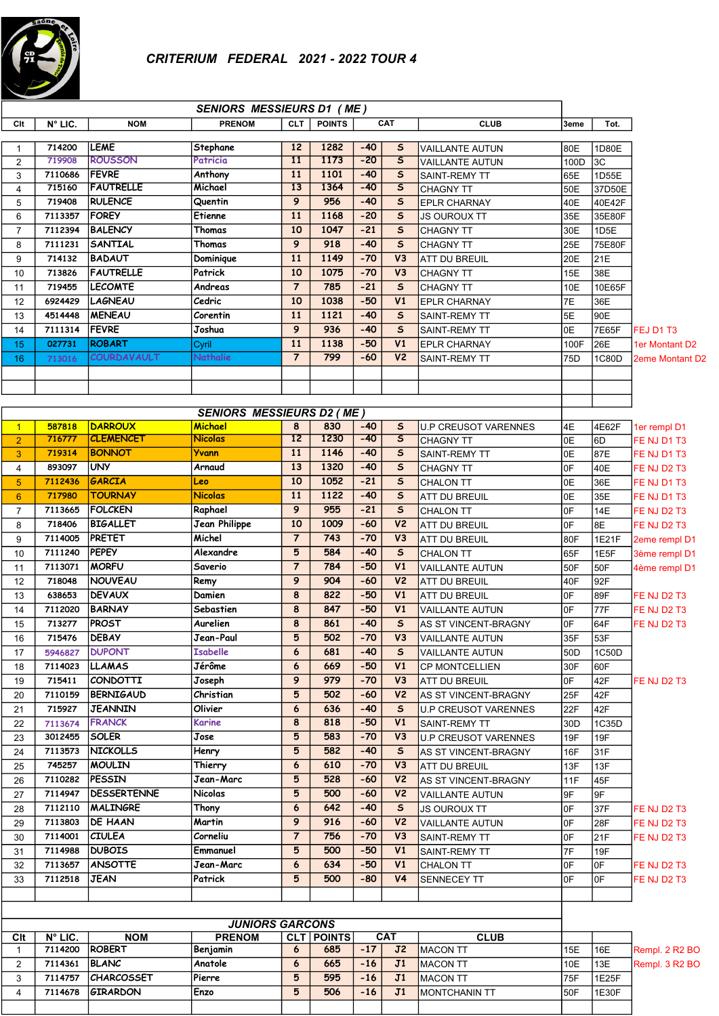

|                     |                        |                    | <b>SENIORS MESSIEURS D1 (ME)</b> |                 |                                    |       |                         |                              |      |        |                        |
|---------------------|------------------------|--------------------|----------------------------------|-----------------|------------------------------------|-------|-------------------------|------------------------------|------|--------|------------------------|
| Clt                 | N° LIC.                | <b>NOM</b>         | <b>PRENOM</b>                    |                 | <b>POINTS</b><br>CAT<br><b>CLT</b> |       |                         | <b>CLUB</b>                  | 3eme | Tot.   |                        |
|                     | 714200                 | LEME               | Stephane                         | 12              | 1282                               | $-40$ | $\mathsf{s}$            | <b>VAILLANTE AUTUN</b>       | 80E  | 1D80E  |                        |
| 1<br>$\overline{2}$ | 719908                 | <b>ROUSSON</b>     | Patricia                         | $\overline{11}$ | 1173                               | $-20$ | $\overline{\mathsf{s}}$ | <b>VAILLANTE AUTUN</b>       | 100D | 3C     |                        |
| 3                   | 7110686                | FEVRE              | Anthony                          | 11              | 1101                               | $-40$ | $\mathsf{s}$            | <b>SAINT-REMY TT</b>         | 65E  | 1D55E  |                        |
| $\overline{4}$      | 715160                 | <b>FAUTRELLE</b>   | Michael                          | $\overline{13}$ | 1364                               | $-40$ | $\mathsf{s}$            | <b>CHAGNY TT</b>             | 50E  | 37D50E |                        |
| 5                   | 719408                 | <b>RULENCE</b>     | Quentin                          | 9               | 956                                | $-40$ | $\mathsf{s}$            | <b>EPLR CHARNAY</b>          | 40E  | 40E42F |                        |
| 6                   | 7113357                | <b>FOREY</b>       | Etienne                          | 11              | 1168                               | $-20$ | $\sf s$                 | <b>JS OUROUX TT</b>          | 35E  | 35E80F |                        |
| $\overline{7}$      | 7112394                | <b>BALENCY</b>     | Thomas                           | 10              | 1047                               | $-21$ | $\mathsf{s}$            | <b>CHAGNY TT</b>             | 30E  | 1D5E   |                        |
| 8                   | 7111231                | <b>SANTIAL</b>     | Thomas                           | 9               | 918                                | $-40$ | $\mathsf{s}$            | <b>CHAGNY TT</b>             | 25E  | 75E80F |                        |
| 9                   | 714132                 | <b>BADAUT</b>      | Dominique                        | 11              | 1149                               | $-70$ | V3                      | ATT DU BREUIL                | 20E  | 21E    |                        |
| 10                  | 713826                 | <b>FAUTRELLE</b>   | Patrick                          | 10              | 1075                               | $-70$ | V3                      | <b>CHAGNY TT</b>             | 15E  | 38E    |                        |
| 11                  | 719455                 | <b>LECOMTE</b>     | Andreas                          | $\overline{7}$  | 785                                | $-21$ | $\mathsf{s}$            | <b>CHAGNY TT</b>             | 10E  | 10E65F |                        |
| 12                  | 6924429                | <b>LAGNEAU</b>     | Cedric                           | 10              | 1038                               | $-50$ | V1                      | <b>EPLR CHARNAY</b>          | 7E   | 36E    |                        |
| 13                  | 4514448                | <b>MENEAU</b>      | Corentin                         | 11              | 1121                               | $-40$ | $\mathsf{s}$            | SAINT-REMY TT                | 5E   | 90E    |                        |
| 14                  | 7111314                | <b>FEVRE</b>       | Joshua                           | 9               | 936                                | $-40$ | $\mathsf{s}$            | <b>SAINT-REMY TT</b>         | 0E   | 7E65F  | FEJ D1 T3              |
| 15                  | 027731                 | <b>ROBART</b>      | Cyril                            | 11              | 1138                               | $-50$ | V <sub>1</sub>          | <b>EPLR CHARNAY</b>          | 100F | 26E    | 1er Montant D2         |
| 16                  | 713016                 | <b>COURDAVAULT</b> | Nathalie                         | $\overline{7}$  | 799                                | $-60$ | V <sub>2</sub>          | SAINT-REMY TT                | 75D  | 1C80D  | <b>2eme Montant D2</b> |
|                     |                        |                    |                                  |                 |                                    |       |                         |                              |      |        |                        |
|                     |                        |                    |                                  |                 |                                    |       |                         |                              |      |        |                        |
|                     |                        |                    |                                  |                 |                                    |       |                         |                              |      |        |                        |
|                     |                        |                    | <b>SENIORS MESSIEURS D2 (ME)</b> |                 |                                    |       |                         |                              |      |        |                        |
| $\mathbf{1}$        | 587818                 | <b>DARROUX</b>     | Michael                          | 8               | 830                                | $-40$ | S                       | U.P CREUSOT VARENNES         | 4E   | 4E62F  | 1er rempl D1           |
| $\overline{2}$      | 716777                 | <b>CLEMENCET</b>   | <b>Nicolas</b>                   | $\overline{12}$ | 1230                               | $-40$ | $\overline{\mathsf{s}}$ | <b>CHAGNY TT</b>             | 0E   | 6D     | FE NJ D1 T3            |
| 3                   | 719314                 | <b>BONNOT</b>      | <b>Yvann</b>                     | 11              | 1146                               | $-40$ | $\mathsf{s}$            | <b>SAINT-REMY TT</b>         | 0E   | 87E    | FE NJ D1 T3            |
| 4                   | 893097                 | <b>UNY</b>         | Arnaud                           | 13              | 1320                               | $-40$ | $\sf s$                 | <b>CHAGNY TT</b>             | 0F   | 40E    | FE NJ D2 T3            |
| 5 <sup>5</sup>      | 7112436                | <b>GARCIA</b>      | Leo                              | 10              | 1052                               | $-21$ | $\mathsf{s}$            | <b>CHALON TT</b>             | 0E   | 36E    | FE NJ D1 T3            |
| $6\phantom{1}$      | 717980                 | <b>TOURNAY</b>     | <b>Nicolas</b>                   | 11              | 1122                               | $-40$ | $\mathsf{s}$            | ATT DU BREUIL                | 0E   | 35E    | FE NJ D1 T3            |
| $\overline{7}$      | 7113665                | <b>FOLCKEN</b>     | Raphael                          | 9               | 955                                | $-21$ | $\mathsf{s}$            | <b>CHALON TT</b>             | 0F   | 14E    | FE NJ D2 T3            |
| 8                   | 718406                 | <b>BIGALLET</b>    | <b>Jean Philippe</b>             | 10              | 1009                               | $-60$ | V <sub>2</sub>          | ATT DU BREUIL                | 0F   | 8E     | FE NJ D2 T3            |
| 9                   | 7114005                | <b>PRETET</b>      | Michel                           | $\overline{7}$  | 743                                | $-70$ | V3                      | ATT DU BREUIL                | 80F  | 1E21F  | 2eme rempl D1          |
| 10                  | 7111240                | <b>PEPEY</b>       | Alexandre                        | 5               | 584                                | $-40$ | $\mathsf{s}$            | <b>CHALON TT</b>             | 65F  | 1E5F   | 3ème rempl D1          |
| 11                  | 7113071                | <b>MORFU</b>       | Saverio                          | $\overline{7}$  | 784                                | $-50$ | V1                      | <b>VAILLANTE AUTUN</b>       | 50F  | 50F    | 4ème rempl D1          |
| 12                  | 718048                 | NOUVEAU            | Remy                             | 9               | 904                                | $-60$ | V <sub>2</sub>          | <b>ATT DU BREUIL</b>         | 40F  | 92F    |                        |
| 13                  | 638653                 | <b>DEVAUX</b>      | Damien                           | 8               | 822                                | $-50$ | V1                      | <b>ATT DU BREUIL</b>         | 0F   | 89F    | FE NJ D2 T3            |
| 14                  | 7112020                | <b>BARNAY</b>      | Sebastien                        | 8               | 847                                | $-50$ | V <sub>1</sub>          | <b>VAILLANTE AUTUN</b>       | 0F   | 77F    | FE NJ D2 T3            |
| 15                  | 713277                 | PROST              | Aurelien                         | 8               | 861                                | $-40$ | $\mathsf{s}$            | AS ST VINCENT-BRAGNY         | 0F   | 64F    | FE NJ D2 T3            |
| 16                  | 715476                 | DEBAY              | Jean-Paul                        | 5               | 502                                | $-70$ | V3                      | VAILLANTE AUTUN              | 35F  | 53F    |                        |
| 17                  | 5946827                | <b>DUPONT</b>      | <b>Isabelle</b>                  | 6               | 681                                | $-40$ | S                       | VAILLANTE AUTUN              | 50D  | 1C50D  |                        |
| 18                  | 7114023                | <b>LLAMAS</b>      | Jérôme                           | 6               | 669                                | $-50$ | V <sub>1</sub>          | <b>CP MONTCELLIEN</b>        | 30F  | 60F    |                        |
| 19                  | 715411                 | CONDOTTI           | Joseph                           | 9               | 979                                | $-70$ | V <sub>3</sub>          | ATT DU BREUIL                | 0F   | 42F    | <b>FE NJ D2 T3</b>     |
| 20                  | 7110159                | <b>BERNIGAUD</b>   | Christian                        | 5               | 502                                | $-60$ | V <sub>2</sub>          | AS ST VINCENT-BRAGNY         | 25F  | 42F    |                        |
| 21                  | 715927                 | JEANNIN            | Olivier                          | 6               | 636                                | $-40$ | $\mathsf{s}$            | <b>IU.P CREUSOT VARENNES</b> | 22F  | 42F    |                        |
| 22                  | 7113674                | <b>FRANCK</b>      | Karine                           | 8               | 818                                | $-50$ | V1                      | SAINT-REMY TT                | 30D  | 1C35D  |                        |
| 23                  | 3012455                | SOLER              | Jose                             | 5               | 583                                | $-70$ | $\overline{v}$          | U.P CREUSOT VARENNES         | 19F  | 19F    |                        |
| 24                  | 7113573                | <b>NICKOLLS</b>    | Henry                            | 5               | 582                                | $-40$ | S                       | AS ST VINCENT-BRAGNY         | 16F  | 31F    |                        |
| 25                  | 745257                 | MOULIN             | Thierry                          | 6               | 610                                | $-70$ | V3                      | <b>ATT DU BREUIL</b>         | 13F  | 13F    |                        |
| 26                  | 7110282                | PESSIN             | Jean-Marc                        | 5               | 528                                | $-60$ | V <sub>2</sub>          | AS ST VINCENT-BRAGNY         | 11F  | 45F    |                        |
| 27                  | 7114947                | DESSERTENNE        | Nicolas                          | 5               | 500                                | $-60$ | V <sub>2</sub>          | VAILLANTE AUTUN              | 9F   | 9F     |                        |
| 28                  | 7112110                | MALINGRE           | Thony                            | 6               | 642                                | $-40$ | $\mathsf{s}$            | <b>JS OUROUX TT</b>          | 0F   | 37F    | FE NJ D2 T3            |
| 29                  | 7113803                | DE HAAN            | Martin                           | 9               | 916                                | $-60$ | V <sub>2</sub>          | <b>VAILLANTE AUTUN</b>       | 0F   | 28F    | FE NJ D2 T3            |
| 30                  | 7114001                | <b>CIULEA</b>      | Corneliu                         | $\overline{7}$  | 756                                | $-70$ | V3                      | SAINT-REMY TT                | 0F   | 21F    | FE NJ D2 T3            |
| 31                  | 7114988                | <b>DUBOIS</b>      | Emmanuel                         | 5               | 500                                | $-50$ | V1                      | <b>SAINT-REMY TT</b>         | 7F   | 19F    |                        |
| 32                  | 7113657                | <b>ANSOTTE</b>     | Jean-Marc                        | 6               | 634                                | $-50$ | V1                      | CHALON TT                    | 0F   | 0F     | FE NJ D2 T3            |
| 33                  | 7112518                | <b>JEAN</b>        | Patrick                          | 5               | 500                                | -80   | V <sub>4</sub>          | SENNECEY TT                  | 0F   | 0F     | FE NJ D2 T3            |
|                     |                        |                    |                                  |                 |                                    |       |                         |                              |      |        |                        |
|                     |                        |                    |                                  |                 |                                    |       |                         |                              |      |        |                        |
|                     | <b>JUNIORS GARCONS</b> |                    |                                  |                 |                                    |       |                         |                              |      |        |                        |
|                     |                        |                    |                                  |                 |                                    |       |                         |                              |      |        |                        |

| JUNIORS GARCONS |                  |                   |               |  |                       |       |                |                       |     |        |                            |
|-----------------|------------------|-------------------|---------------|--|-----------------------|-------|----------------|-----------------------|-----|--------|----------------------------|
| Clt             | $N^{\circ}$ LIC. | <b>NOM</b>        | <b>PRENOM</b> |  | <b>CLT   POINTS  </b> |       | <b>CAT</b>     | <b>CLUB</b>           |     |        |                            |
|                 | 7114200          | <b>ROBERT</b>     | Benjamin      |  | 685                   | $-17$ | J <sub>2</sub> | <b>IMACON TT</b>      | 15E | 116E   | <b>Rempl. 2 R2 BO</b>      |
|                 | 7114361          | <b>BLANC</b>      | Anatole       |  | 665                   | $-16$ | J1             | <b>IMACON TT</b>      | 10E | 113E   | Rempl. 3 R <sub>2</sub> BO |
|                 | 7114757          | <b>CHARCOSSET</b> | Pierre        |  | 595                   | $-16$ | J1             | <b>IMACON TT</b>      | 75F | 11E25F |                            |
|                 | 7114678          | <b>GIRARDON</b>   | Enzo          |  | 506                   | $-16$ | J1             | <b>IMONTCHANIN TT</b> | 50F | 11E30F |                            |
|                 |                  |                   |               |  |                       |       |                |                       |     |        |                            |